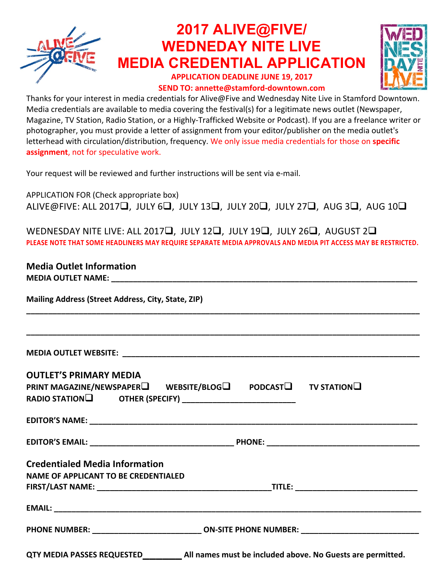

# **2017 ALIVE@FIVE/ WEDNEDAY NITE LIVE MEDIA CREDENTIAL APPLICATION**

#### **APPLICATION DEADLINE JUNE 19, 2017 SEND TO: annette@stamford-downtown.com**



Thanks for your interest in media credentials for Alive@Five and Wednesday Nite Live in Stamford Downtown. Media credentials are available to media covering the festival(s) for a legitimate news outlet (Newspaper, Magazine, TV Station, Radio Station, or a Highly-Trafficked Website or Podcast). If you are a freelance writer or photographer, you must provide a letter of assignment from your editor/publisher on the media outlet's letterhead with circulation/distribution, frequency. We only issue media credentials for those on specific **assignment**, not for speculative work.

Your request will be reviewed and further instructions will be sent via e-mail.

APPLICATION FOR (Check appropriate box) ALIVE@FIVE: ALL 2017 $\Box$ , JULY 6 $\Box$ , JULY 13 $\Box$ , JULY 20 $\Box$ , JULY 27 $\Box$ , AUG 3 $\Box$ , AUG 10 $\Box$ 

WEDNESDAY NITE LIVE: ALL 2017 $\Box$ , JULY 12 $\Box$ , JULY 19 $\Box$ , JULY 26 $\Box$ , AUGUST 2 $\Box$ PLEASE NOTE THAT SOME HEADLINERS MAY REQUIRE SEPARATE MEDIA APPROVALS AND MEDIA PIT ACCESS MAY BE RESTRICTED.

**\_\_\_\_\_\_\_\_\_\_\_\_\_\_\_\_\_\_\_\_\_\_\_\_\_\_\_\_\_\_\_\_\_\_\_\_\_\_\_\_\_\_\_\_\_\_\_\_\_\_\_\_\_\_\_\_\_\_\_\_\_\_\_\_\_\_\_\_\_\_\_\_\_\_\_\_\_\_\_\_\_\_\_\_\_\_\_\_\_\_**

**\_\_\_\_\_\_\_\_\_\_\_\_\_\_\_\_\_\_\_\_\_\_\_\_\_\_\_\_\_\_\_\_\_\_\_\_\_\_\_\_\_\_\_\_\_\_\_\_\_\_\_\_\_\_\_\_\_\_\_\_\_\_\_\_\_\_\_\_\_\_\_\_\_\_\_\_\_\_\_\_\_\_\_\_\_\_\_\_\_\_**

## **Media Outlet Information**

**MEDIA OUTLET NAME: WE SEE ALL THANGES AND THE SEE ALL THANGES** 

**Mailing Address (Street Address, City, State, ZIP)**

**MEDIA OUTLET WEBSITE: \_\_\_\_\_\_\_\_\_\_\_\_\_\_\_\_\_\_\_\_\_\_\_\_\_\_\_\_\_\_\_\_\_\_\_\_\_\_\_\_\_\_\_\_\_\_\_\_\_\_\_\_\_\_\_\_\_\_\_\_\_\_\_\_\_\_\_\_**

| <b>OUTLET'S PRIMARY MEDIA</b><br>PRINT MAGAZINE/NEWSPAPER□ WEBSITE/BLOG□ PODCAST□ TV STATION□       |  |  |  |
|-----------------------------------------------------------------------------------------------------|--|--|--|
|                                                                                                     |  |  |  |
|                                                                                                     |  |  |  |
| <b>Credentialed Media Information</b>                                                               |  |  |  |
| <b>NAME OF APPLICANT TO BE CREDENTIALED</b>                                                         |  |  |  |
|                                                                                                     |  |  |  |
|                                                                                                     |  |  |  |
| PHONE NUMBER: _______________________________ ON-SITE PHONE NUMBER: _______________________________ |  |  |  |
|                                                                                                     |  |  |  |